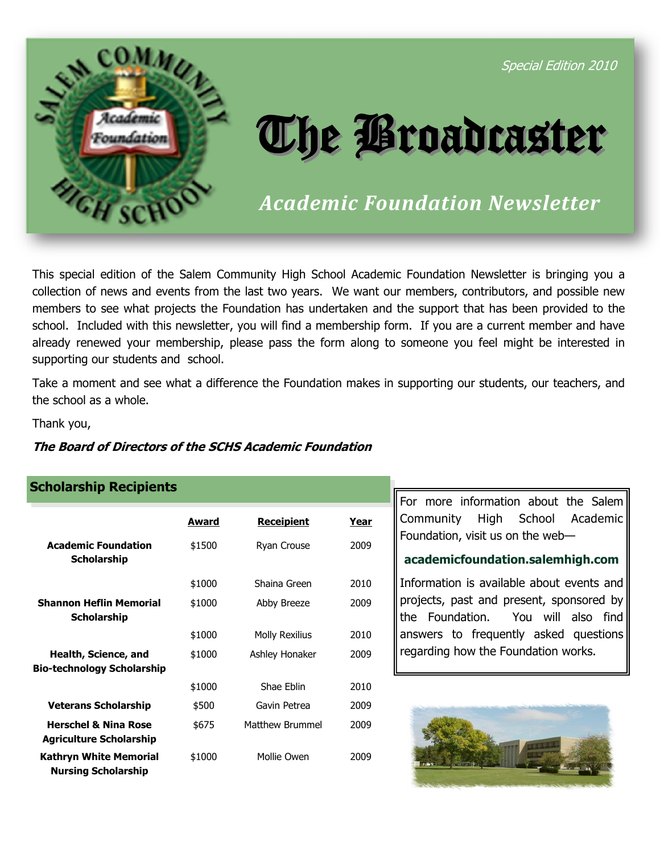

Special Edition 2010

# The Broadcaster

*Academic Foundation Newsletter* 

This special edition of the Salem Community High School Academic Foundation Newsletter is bringing you a collection of news and events from the last two years. We want our members, contributors, and possible new members to see what projects the Foundation has undertaken and the support that has been provided to the school. Included with this newsletter, you will find a membership form. If you are a current member and have already renewed your membership, please pass the form along to someone you feel might be interested in supporting our students and school.

Take a moment and see what a difference the Foundation makes in supporting our students, our teachers, and the school as a whole.

Thank you,

## **The Board of Directors of the SCHS Academic Foundation**

## **Scholarship Recipients**

|                                                                   | Award  | <u>Receipient</u>     | Year |
|-------------------------------------------------------------------|--------|-----------------------|------|
| <b>Academic Foundation</b><br><b>Scholarship</b>                  | \$1500 | Ryan Crouse           | 2009 |
|                                                                   | \$1000 | Shaina Green          | 2010 |
| <b>Shannon Heflin Memorial</b><br><b>Scholarship</b>              | \$1000 | Abby Breeze           | 2009 |
|                                                                   | \$1000 | <b>Molly Rexilius</b> | 2010 |
| Health, Science, and<br><b>Bio-technology Scholarship</b>         | \$1000 | Ashley Honaker        | 2009 |
|                                                                   | \$1000 | Shae Fhlin            | 2010 |
| <b>Veterans Scholarship</b>                                       | \$500  | Gavin Petrea          | 2009 |
| <b>Herschel &amp; Nina Rose</b><br><b>Agriculture Scholarship</b> | \$675  | Matthew Brummel       | 2009 |
| <b>Kathryn White Memorial</b><br><b>Nursing Scholarship</b>       | \$1000 | Mollie Owen           | 2009 |

For more information about the Salem Community High School Academic Foundation, visit us on the web—

## **academicfoundation.salemhigh.com**

Information is available about events and projects, past and present, sponsored by the Foundation. You will also find answers to frequently asked questions regarding how the Foundation works.

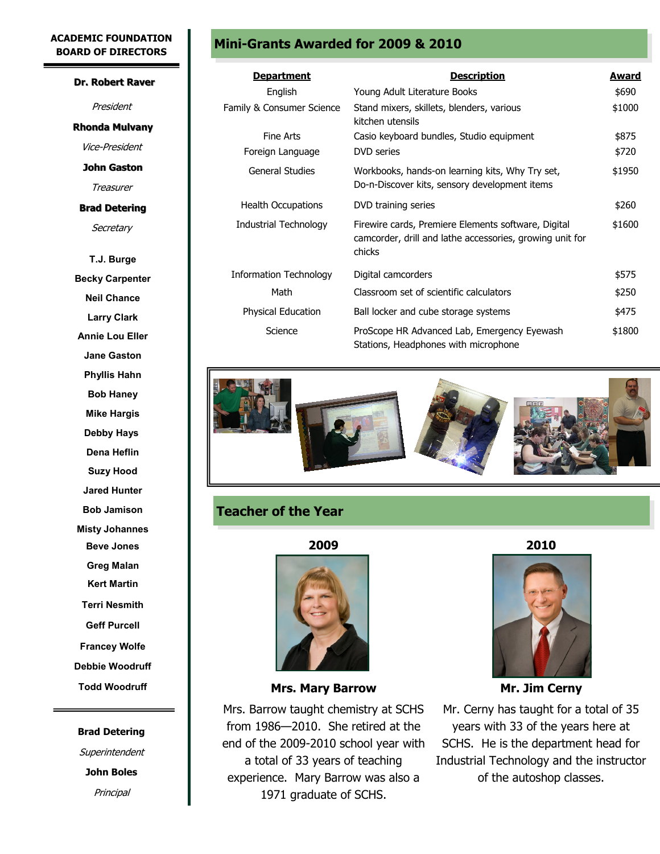#### **ACADEMIC FOUNDATION BOARD OF DIRECTORS**

#### **Dr. Robert Raver**

President **Rhonda Mulvany**

Vice-President

**John Gaston**

Treasurer

## **Brad Detering**

**Secretary** 

**T.J. Burge Becky Carpenter Neil Chance Larry Clark Annie Lou Eller Jane Gaston Phyllis Hahn Bob Haney Mike Hargis Debby Hays Dena Heflin Suzy Hood Jared Hunter Bob Jamison Misty Johannes Beve Jones Greg Malan Kert Martin Terri Nesmith Geff Purcell Francey Wolfe Debbie Woodruff Todd Woodruff**

# **Brad Detering Superintendent John Boles Principal**

## **Mini-Grants Awarded for 2009 & 2010**

| <u>Department</u>         | <b>Description</b>                                                                                                        | <u>Award</u> |
|---------------------------|---------------------------------------------------------------------------------------------------------------------------|--------------|
| English                   | Young Adult Literature Books                                                                                              |              |
| Family & Consumer Science | Stand mixers, skillets, blenders, various<br>kitchen utensils                                                             | \$1000       |
| Fine Arts                 | Casio keyboard bundles, Studio equipment                                                                                  | \$875        |
| Foreign Language          | <b>DVD</b> series                                                                                                         | \$720        |
| General Studies           | Workbooks, hands-on learning kits, Why Try set,<br>Do-n-Discover kits, sensory development items                          | \$1950       |
| <b>Health Occupations</b> | DVD training series                                                                                                       | \$260        |
| Industrial Technology     | Firewire cards, Premiere Elements software, Digital<br>camcorder, drill and lathe accessories, growing unit for<br>chicks | \$1600       |
| Information Technology    | Digital camcorders                                                                                                        | \$575        |
| Math                      | Classroom set of scientific calculators                                                                                   | \$250        |
| Physical Education        | Ball locker and cube storage systems                                                                                      | \$475        |
| Science                   | ProScope HR Advanced Lab, Emergency Eyewash<br>Stations, Headphones with microphone                                       | \$1800       |



## **Teacher of the Year**

**2009 2010** 



**Mrs. Mary Barrow Mr. Jim Cerny** 

Mrs. Barrow taught chemistry at SCHS from 1986—2010. She retired at the end of the 2009-2010 school year with a total of 33 years of teaching experience. Mary Barrow was also a 1971 graduate of SCHS.



Mr. Cerny has taught for a total of 35 years with 33 of the years here at SCHS. He is the department head for Industrial Technology and the instructor of the autoshop classes.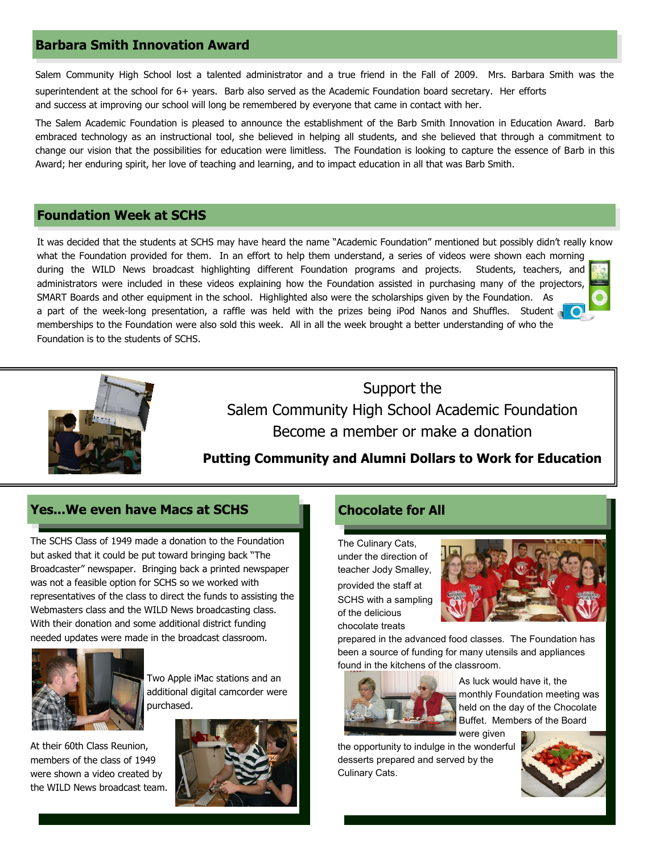## **Barbara Smith Innovation Award**

Salem Community High School lost a talented administrator and a true friend in the Fall of 2009. Mrs. Barbara Smith was the superintendent at the school for 6+ years. Barb also served as the Academic Foundation board secretary. Her efforts and success at improving our school will long be remembered by everyone that came in contact with her.

The Salem Academic Foundation is pleased to announce the establishment of the Barb Smith Innovation in Education Award. Barb embraced technology as an instructional tool, she believed in helping all students, and she believed that through a commitment to change our vision that the possibilities for education were limitless. The Foundation is looking to capture the essence of Barb in this Award; her enduring spirit, her love of teaching and learning, and to impact education in all that was Barb Smith.

## **Foundation Week at SCHS**

It was decided that the students at SCHS may have heard the name "Academic Foundation" mentioned but possibly didn't really know what the Foundation provided for them. In an effort to help them understand, a series of videos were shown each morning during the WILD News broadcast highlighting different Foundation programs and projects. Students, teachers, and administrators were included in these videos explaining how the Foundation assisted in purchasing many of the projectors, SMART Boards and other equipment in the school. Highlighted also were the scholarships given by the Foundation. As a part of the week-long presentation, a raffle was held with the prizes being iPod Nanos and Shuffles. Student memberships to the Foundation were also sold this week. All in all the week brought a better understanding of who the Foundation is to the students of SCHS.



Support the Salem Community High School Academic Foundation Become a member or make a donation

## **Putting Community and Alumni Dollars to Work for Education**

## **Yes...We even have Macs at SCHS**

The SCHS Class of 1949 made a donation to the Foundation but asked that it could be put toward bringing back "The Broadcaster" newspaper. Bringing back a printed newspaper was not a feasible option for SCHS so we worked with representatives of the class to direct the funds to assisting the Webmasters class and the WILD News broadcasting class. With their donation and some additional district funding needed updates were made in the broadcast classroom.



Two Apple iMac stations and an additional digital camcorder were purchased.

At their 60th Class Reunion, members of the class of 1949 were shown a video created by the WILD News broadcast team.



## **Chocolate for All**

The Culinary Cats, under the direction of teacher Jody Smalley, provided the staff at SCHS with a sampling of the delicious chocolate treats



prepared in the advanced food classes. The Foundation has been a source of funding for many utensils and appliances found in the kitchens of the classroom.



As luck would have it, the monthly Foundation meeting was held on the day of the Chocolate Buffet. Members of the Board were given

the opportunity to indulge in the wonderful desserts prepared and served by the Culinary Cats.